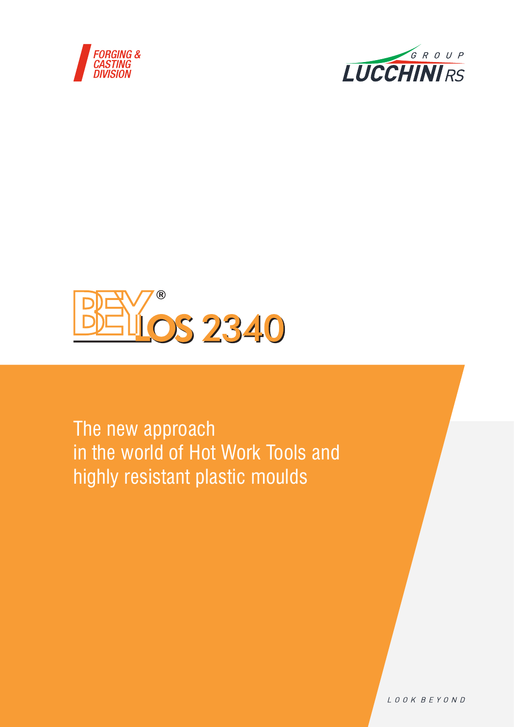





The new approach in the world of Hot Work Tools and highly resistant plastic moulds

LOOK BEYOND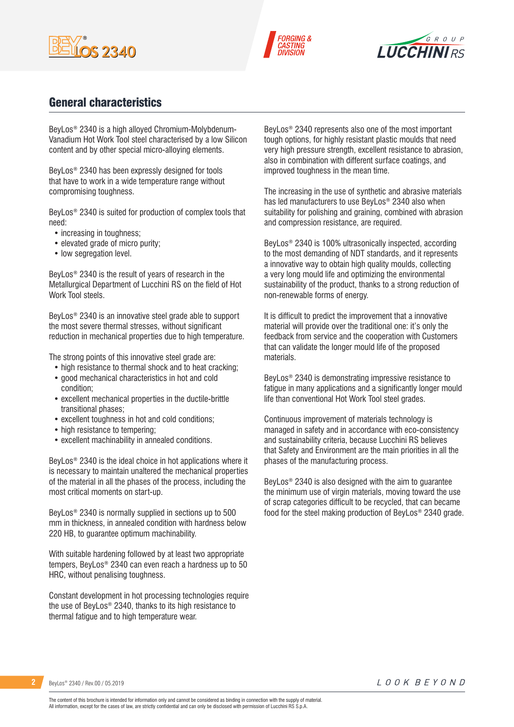





### General characteristics

BeyLos® 2340 is a high alloyed Chromium-Molybdenum-Vanadium Hot Work Tool steel characterised by a low Silicon content and by other special micro-alloying elements.

BeyLos® 2340 has been expressly designed for tools that have to work in a wide temperature range without compromising toughness.

BeyLos® 2340 is suited for production of complex tools that need:

- increasing in toughness;
- elevated grade of micro purity;
- low segregation level.

BeyLos® 2340 is the result of years of research in the Metallurgical Department of Lucchini RS on the field of Hot Work Tool steels.

BeyLos® 2340 is an innovative steel grade able to support the most severe thermal stresses, without significant reduction in mechanical properties due to high temperature.

The strong points of this innovative steel grade are:

- high resistance to thermal shock and to heat cracking;
- good mechanical characteristics in hot and cold condition;
- excellent mechanical properties in the ductile-brittle transitional phases;
- excellent toughness in hot and cold conditions;
- high resistance to tempering;
- excellent machinability in annealed conditions.

BeyLos® 2340 is the ideal choice in hot applications where it is necessary to maintain unaltered the mechanical properties of the material in all the phases of the process, including the most critical moments on start-up.

BeyLos® 2340 is normally supplied in sections up to 500 mm in thickness, in annealed condition with hardness below 220 HB, to guarantee optimum machinability.

With suitable hardening followed by at least two appropriate tempers, BeyLos® 2340 can even reach a hardness up to 50 HRC, without penalising toughness.

Constant development in hot processing technologies require the use of BeyLos® 2340, thanks to its high resistance to thermal fatigue and to high temperature wear.

BeyLos® 2340 represents also one of the most important tough options, for highly resistant plastic moulds that need very high pressure strength, excellent resistance to abrasion, also in combination with different surface coatings, and improved toughness in the mean time.

The increasing in the use of synthetic and abrasive materials has led manufacturers to use BeyLos® 2340 also when suitability for polishing and graining, combined with abrasion and compression resistance, are required.

BeyLos® 2340 is 100% ultrasonically inspected, according to the most demanding of NDT standards, and it represents a innovative way to obtain high quality moulds, collecting a very long mould life and optimizing the environmental sustainability of the product, thanks to a strong reduction of non-renewable forms of energy.

It is difficult to predict the improvement that a innovative material will provide over the traditional one: it's only the feedback from service and the cooperation with Customers that can validate the longer mould life of the proposed materials.

BeyLos® 2340 is demonstrating impressive resistance to fatigue in many applications and a significantly longer mould life than conventional Hot Work Tool steel grades.

Continuous improvement of materials technology is managed in safety and in accordance with eco-consistency and sustainability criteria, because Lucchini RS believes that Safety and Environment are the main priorities in all the phases of the manufacturing process.

BeyLos® 2340 is also designed with the aim to guarantee the minimum use of virgin materials, moving toward the use of scrap categories difficult to be recycled, that can became food for the steel making production of BeyLos® 2340 grade.

**2** BeyLos® 2340 / Rev.00 / 05.2019

The content of this brochure is intended for information only and cannot be considered as binding in connection with the supply of material. All information, except for the cases of law, are strictly confidential and can only be disclosed with permission of Lucchini RS S.p.A.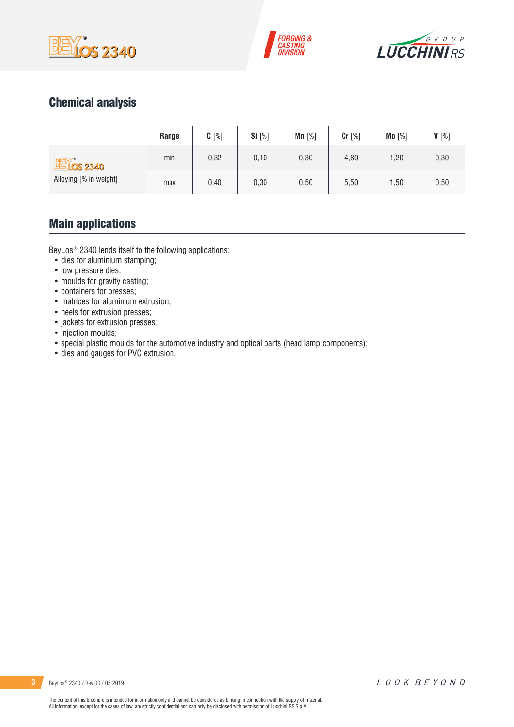





# Chemical analysis

|                        | Range | $C[\%]$ | Si [%] | $Mn$ [%] | Cr [%] | Mo [%] | V[%] |
|------------------------|-------|---------|--------|----------|--------|--------|------|
| <b>EX 0S 2340</b>      | min   | 0,32    | 0,10   | 0,30     | 4,80   | 1,20   | 0,30 |
| Alloying [% in weight] | max   | 0,40    | 0,30   | 0,50     | 5,50   | 1,50   | 0,50 |

### Main applications

BeyLos® 2340 lends itself to the following applications:

- dies for aluminium stamping;
- low pressure dies;
- moulds for gravity casting;
- containers for presses;
- matrices for aluminium extrusion;
- heels for extrusion presses;
- jackets for extrusion presses;
- injection moulds;
- special plastic moulds for the automotive industry and optical parts (head lamp components);
- dies and gauges for PVC extrusion.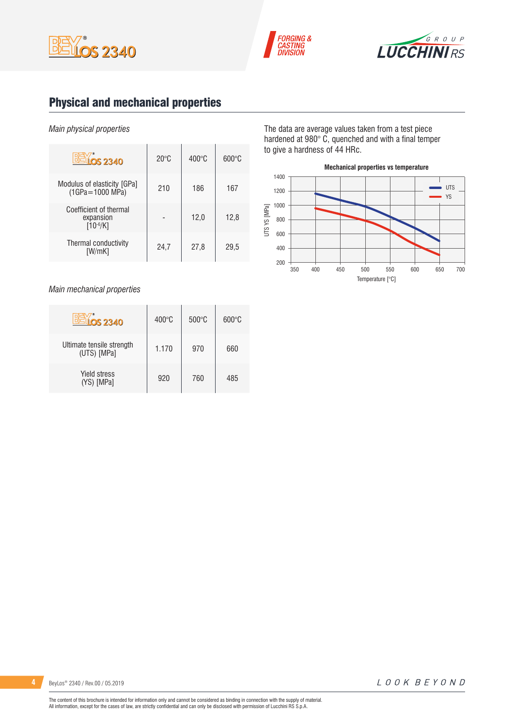





# Physical and mechanical properties

#### *Main physical properties*

| OS 2340                                              | $20^{\circ}$ C | $400^{\circ}$ C | $600\degree C$ |
|------------------------------------------------------|----------------|-----------------|----------------|
| Modulus of elasticity [GPa]<br>$(1GPa = 1000 MPa)$   | 210            | 186             | 167            |
| Coefficient of thermal<br>expansion<br>$[10^{-6}/K]$ |                | 12,0            | 12,8           |
| Thermal conductivity<br>[W/mK]                       | 24,7           | 27,8            | 29,5           |

*Main mechanical properties*

| <b>LOS 2340</b>                          | $400^{\circ}$ C | $500^{\circ}$ C | $600^{\circ}$ C |
|------------------------------------------|-----------------|-----------------|-----------------|
| Ultimate tensile strength<br>(UTS) [MPa] | 1.170           | 970             | 660             |
| <b>Yield stress</b><br>(YS) [MPa]        | 920             | 760             | 485             |

The data are average values taken from a test piece hardened at 980° C, quenched and with a final temper to give a hardness of 44 HRc.

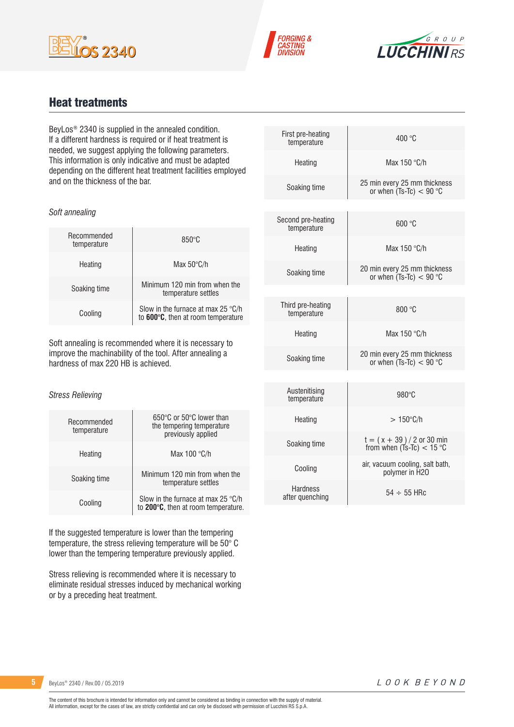





### Heat treatments

*Soft annealing*

BeyLos® 2340 is supplied in the annealed condition. If a different hardness is required or if heat treatment is needed, we suggest applying the following parameters. This information is only indicative and must be adapted depending on the different heat treatment facilities employed and on the thickness of the bar.

| Recommended<br>temperature | $850^\circ C$                                                                     |
|----------------------------|-----------------------------------------------------------------------------------|
| Heating                    | Max $50^{\circ}$ C/h                                                              |
| Soaking time               | Minimum 120 min from when the<br>temperature settles                              |
| Cooling                    | Slow in the furnace at max 25 $\degree$ C/h<br>to 600°C, then at room temperature |

Soft annealing is recommended where it is necessary to improve the machinability of the tool. After annealing a hardness of max 220 HB is achieved.

#### *Stress Relieving*

| Recommended<br>temperature | 650°C or 50°C lower than<br>the tempering temperature<br>previously applied |
|----------------------------|-----------------------------------------------------------------------------|
| Heating                    | Max $100 °C/h$                                                              |
| Soaking time               | Minimum 120 min from when the<br>temperature settles                        |
| Cooling                    | Slow in the furnace at max 25 °C/h<br>to 200°C, then at room temperature.   |

If the suggested temperature is lower than the tempering temperature, the stress relieving temperature will be 50° C lower than the tempering temperature previously applied.

Stress relieving is recommended where it is necessary to eliminate residual stresses induced by mechanical working or by a preceding heat treatment.

| First pre-heating<br>temperature   | 400 °C                                                    |
|------------------------------------|-----------------------------------------------------------|
| Heating                            | Max 150 °C/h                                              |
| Soaking time                       | 25 min every 25 mm thickness<br>or when $(Ts-TC) < 90$ °C |
|                                    |                                                           |
| Second pre-heating<br>temperature  | 600 °C                                                    |
| Heating                            | Max $150 °C/h$                                            |
| Soaking time                       | 20 min every 25 mm thickness<br>or when $(Ts-Tc) < 90$ °C |
|                                    |                                                           |
| Third pre-heating<br>temperature   | 800 °C                                                    |
| Heating                            | Max 150 °C/h                                              |
| Soaking time                       | 20 min every 25 mm thickness<br>or when $(Ts-TC) < 90$ °C |
|                                    |                                                           |
| Austenitising<br>temperature       | $980^\circ C$                                             |
| Heating                            | $>150^{\circ}$ C/h                                        |
| Soaking time                       | $t = (x + 39) / 2$ or 30 min<br>from when (Ts-Tc) < 15 °C |
| Cooling                            | air, vacuum cooling, salt bath,<br>polymer in H2O         |
| <b>Hardness</b><br>after quenching | $54 \div 55$ HRc                                          |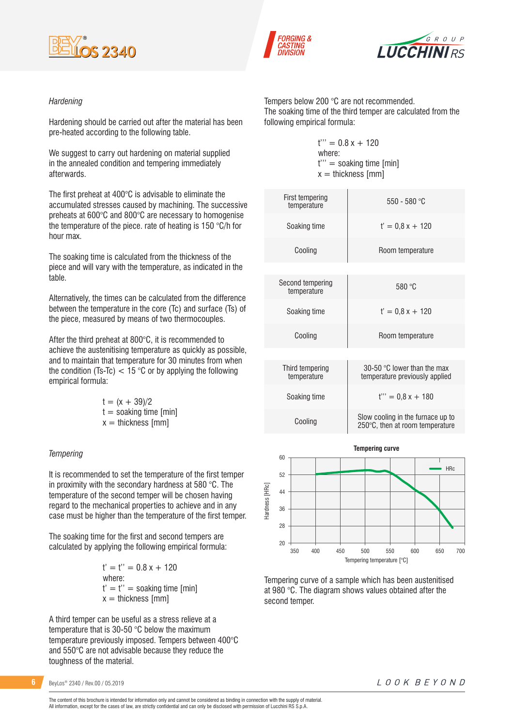





#### *Hardening*

Hardening should be carried out after the material has been pre-heated according to the following table.

We suggest to carry out hardening on material supplied in the annealed condition and tempering immediately afterwards.

The first preheat at 400°C is advisable to eliminate the accumulated stresses caused by machining. The successive preheats at 600°C and 800°C are necessary to homogenise the temperature of the piece. rate of heating is 150 °C/h for hour max.

The soaking time is calculated from the thickness of the piece and will vary with the temperature, as indicated in the table.

Alternatively, the times can be calculated from the difference between the temperature in the core (Tc) and surface (Ts) of the piece, measured by means of two thermocouples.

After the third preheat at 800°C, it is recommended to achieve the austenitising temperature as quickly as possible, and to maintain that temperature for 30 minutes from when the condition (Ts-Tc)  $< 15$  °C or by applying the following empirical formula:

| $t = (x + 39)/2$         |
|--------------------------|
| $t =$ soaking time [min] |
| $x =$ thickness [mm]     |

#### *Tempering*

It is recommended to set the temperature of the first temper in proximity with the secondary hardness at 580 °C. The temperature of the second temper will be chosen having regard to the mechanical properties to achieve and in any case must be higher than the temperature of the first temper.

The soaking time for the first and second tempers are calculated by applying the following empirical formula:

> $t' = t'' = 0.8x + 120$ where:  $t' = t'' =$  soaking time [min]  $x =$  thickness [mm]

A third temper can be useful as a stress relieve at a temperature that is 30-50 °C below the maximum temperature previously imposed. Tempers between 400°C and 550°C are not advisable because they reduce the toughness of the material.

**6** BeyLos<sup>®</sup> 2340 / Rev.00 / 05.2019

Tempers below 200 °C are not recommended. The soaking time of the third temper are calculated from the following empirical formula:

> $t''' = 0.8x + 120$ where: t''' = soaking time [min]  $x =$  thickness [mm]

| First tempering<br>temperature  | 550 - 580 °C                                                         |
|---------------------------------|----------------------------------------------------------------------|
| Soaking time                    | $t' = 0.8x + 120$                                                    |
| Cooling                         | Room temperature                                                     |
|                                 |                                                                      |
| Second tempering<br>temperature | 580 °C                                                               |
| Soaking time                    | $t' = 0.8x + 120$                                                    |
| Cooling                         | Room temperature                                                     |
|                                 |                                                                      |
| Third tempering<br>temperature  | 30-50 °C lower than the max<br>temperature previously applied        |
| Soaking time                    | $t''' = 0.8x + 180$                                                  |
| Cooling                         | Slow cooling in the furnace up to<br>250°C, then at room temperature |



Tempering curve of a sample which has been austenitised at 980 °C. The diagram shows values obtained after the second temper.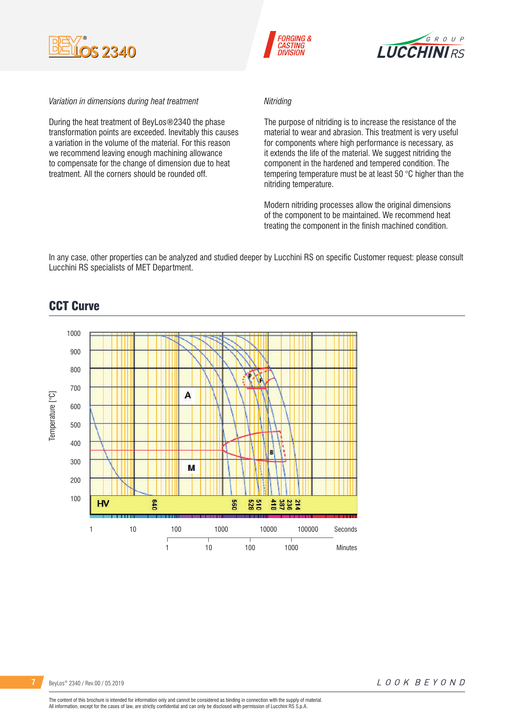





#### *Variation in dimensions during heat treatment*

During the heat treatment of BeyLos®2340 the phase transformation points are exceeded. Inevitably this causes a variation in the volume of the material. For this reason we recommend leaving enough machining allowance to compensate for the change of dimension due to heat treatment. All the corners should be rounded off.

#### *Nitriding*

The purpose of nitriding is to increase the resistance of the material to wear and abrasion. This treatment is very useful for components where high performance is necessary, as it extends the life of the material. We suggest nitriding the component in the hardened and tempered condition. The tempering temperature must be at least 50 °C higher than the nitriding temperature.

Modern nitriding processes allow the original dimensions of the component to be maintained. We recommend heat treating the component in the finish machined condition.

In any case, other properties can be analyzed and studied deeper by Lucchini RS on specific Customer request: please consult Lucchini RS specialists of MET Department.



### CCT Curve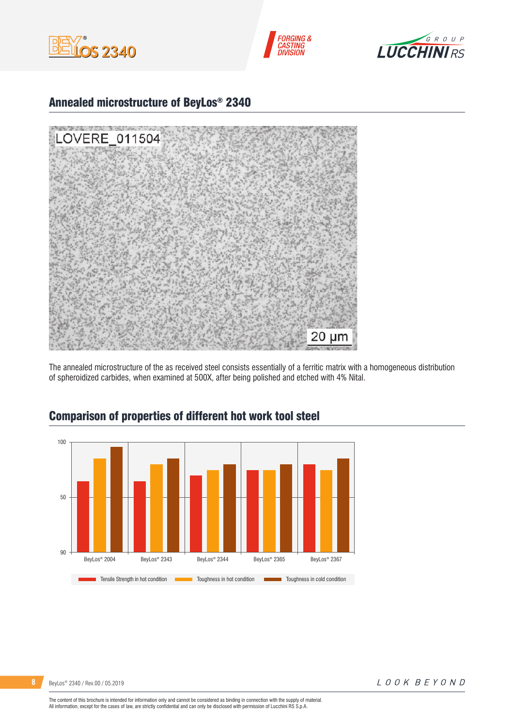





### Annealed microstructure of BeyLos® 2340



The annealed microstructure of the as received steel consists essentially of a ferritic matrix with a homogeneous distribution of spheroidized carbides, when examined at 500X, after being polished and etched with 4% Nital.



### Comparison of properties of different hot work tool steel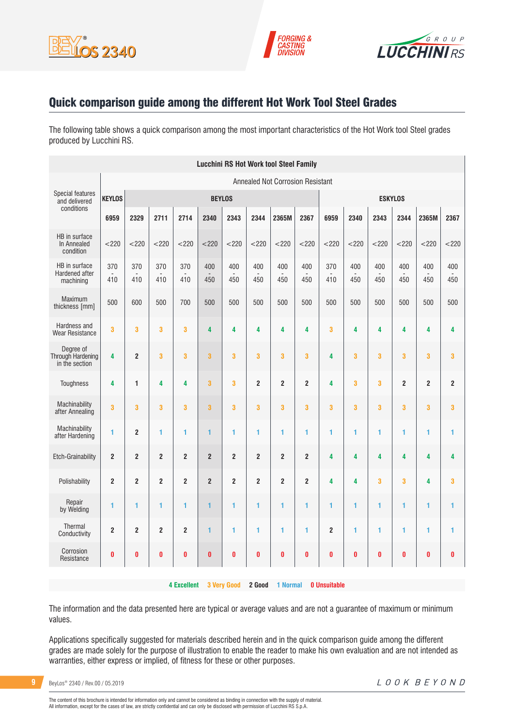





### Quick comparison guide among the different Hot Work Tool Steel Grades

The following table shows a quick comparison among the most important characteristics of the Hot Work tool Steel grades produced by Lucchini RS.

| <b>Lucchini RS Hot Work tool Steel Family</b>    |                         |                         |                         |                    |                         |                         |                |                                         |                         |                     |            |            |                |                |                         |
|--------------------------------------------------|-------------------------|-------------------------|-------------------------|--------------------|-------------------------|-------------------------|----------------|-----------------------------------------|-------------------------|---------------------|------------|------------|----------------|----------------|-------------------------|
|                                                  |                         |                         |                         |                    |                         |                         |                | <b>Annealed Not Corrosion Resistant</b> |                         |                     |            |            |                |                |                         |
| <b>Special features</b><br>and delivered         | <b>KEYLOS</b>           |                         |                         |                    | <b>BEYLOS</b>           |                         |                |                                         |                         | <b>ESKYLOS</b>      |            |            |                |                |                         |
| conditions                                       | 6959                    | 2329                    | 2711                    | 2714               | 2340                    | 2343                    | 2344           | 2365M                                   | 2367                    | 6959                | 2340       | 2343       | 2344           | 2365M          | 2367                    |
| HB in surface<br>In Annealed<br>condition        | < 220                   | $<$ 220                 | < 220                   | $<$ 220            | < 220                   | $<$ 220                 | $<$ 220        | $<$ 220                                 | < 220                   | < 220               | $<$ 220    | $<$ 220    | < 220          | < 220          | < 220                   |
| HB in surface<br>Hardened after<br>machining     | 370<br>410              | 370<br>410              | 370<br>410              | 370<br>410         | 400<br>450              | 400<br>450              | 400<br>450     | 400<br>450                              | 400<br>450              | 370<br>410          | 400<br>450 | 400<br>450 | 400<br>450     | 400<br>450     | 400<br>450              |
| Maximum<br>thickness [mm]                        | 500                     | 600                     | 500                     | 700                | 500                     | 500                     | 500            | 500                                     | 500                     | 500                 | 500        | 500        | 500            | 500            | 500                     |
| Hardness and<br><b>Wear Resistance</b>           | 3                       | 3                       | 3                       | 3                  | 4                       | 4                       | 4              | 4                                       | 4                       | 3                   | 4          | 4          | 4              | 4              | 4                       |
| Dearee of<br>Through Hardening<br>in the section | 4                       | $\overline{2}$          | 3                       | 3                  | 3                       | 3                       | 3              | 3                                       | 3                       | 4                   | 3          | 3          | 3              | 3              | 3                       |
| Toughness                                        | 4                       | $\mathbf{1}$            | 4                       | 4                  | $\overline{\mathbf{3}}$ | 3                       | $\overline{2}$ | $\overline{2}$                          | $\overline{\mathbf{2}}$ | 4                   | 3          | 3          | $\overline{2}$ | $\overline{2}$ | $\overline{\mathbf{2}}$ |
| Machinability<br>after Annealing                 | 3                       | 3                       | 3                       | 3                  | $\overline{\mathbf{3}}$ | 3                       | 3              | 3                                       | 3                       | 3                   | 3          | 3          | 3              | 3              | $\overline{\mathbf{3}}$ |
| Machinability<br>after Hardening                 | 1                       | $\overline{2}$          | 1                       | 1                  | $\mathbf{1}$            | 1                       | 1              | 1                                       | 1                       | 1                   | 1          | 1          | 1              | 1              | 1                       |
| <b>Etch-Grainability</b>                         | $\overline{2}$          | $\overline{\mathbf{c}}$ | $\overline{\mathbf{c}}$ | $\overline{2}$     | $\overline{2}$          | $\overline{\mathbf{c}}$ | $\bf 2$        | $\overline{\mathbf{c}}$                 | $\overline{\mathbf{c}}$ | 4                   | 4          | 4          | 4              | 4              | 4                       |
| Polishability                                    | $\overline{\mathbf{c}}$ | $\overline{2}$          | $\overline{2}$          | $\overline{2}$     | $\overline{\mathbf{c}}$ | $\overline{2}$          | $\overline{2}$ | $\overline{2}$                          | $\overline{\mathbf{2}}$ | 4                   | 4          | 3          | 3              | 4              | 3                       |
| Repair<br>by Welding                             | 1                       | 1                       | 1                       | 1                  | $\mathbf{1}$            | 1                       | 1              | 1                                       | 1                       | 1                   | 1          | 1          | 1              | 1              | 1                       |
| Thermal<br>Conductivity                          | $\overline{2}$          | $\overline{2}$          | $\overline{2}$          | $\overline{2}$     | 1                       | 1                       | 1              | 1                                       | 1                       | $\overline{2}$      | 1          | 1          | 1              | 1              | 1                       |
| Corrosion<br>Resistance                          | O                       | 0                       | $\bf{0}$                | $\bf{0}$           | O                       | $\pmb{0}$               | $\bf{0}$       | 0                                       | $\pmb{0}$               | 0                   | 0          | $\bf{0}$   | 0              | $\bf{0}$       | $\pmb{0}$               |
|                                                  |                         |                         |                         | <b>4 Excellent</b> |                         | <b>3 Very Good</b>      | 2 Good         | <b>1 Normal</b>                         |                         | <b>0 Unsuitable</b> |            |            |                |                |                         |

The information and the data presented here are typical or average values and are not a guarantee of maximum or minimum values.

Applications specifically suggested for materials described herein and in the quick comparison guide among the different grades are made solely for the purpose of illustration to enable the reader to make his own evaluation and are not intended as warranties, either express or implied, of fitness for these or other purposes.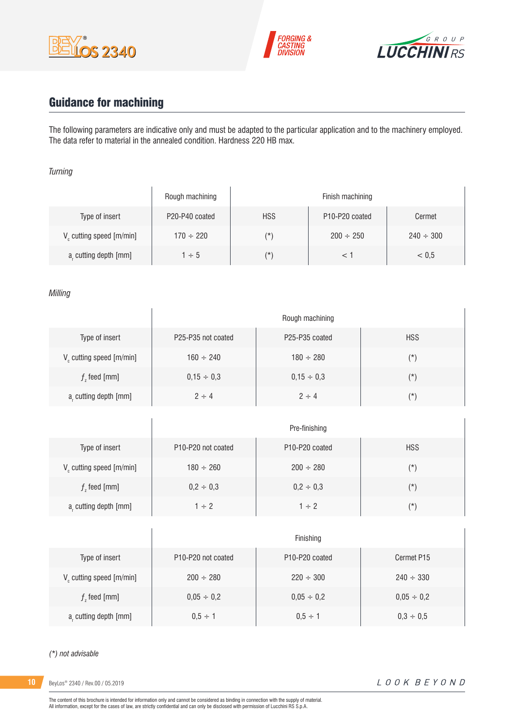





# Guidance for machining

 $\overline{1}$ 

The following parameters are indicative only and must be adapted to the particular application and to the machinery employed. The data refer to material in the annealed condition. Hardness 220 HB max.

#### *Turning*

|                                      | Rough machining |            | Finish machining                        |                |
|--------------------------------------|-----------------|------------|-----------------------------------------|----------------|
| Type of insert                       | P20-P40 coated  | <b>HSS</b> | P <sub>10</sub> -P <sub>20</sub> coated | Cermet         |
| V <sub>c</sub> cutting speed [m/min] | $170 \div 220$  | $(\star)$  | $200 \div 250$                          | $240 \div 300$ |
| a, cutting depth [mm]                | $1 \div 5$      | $(\star)$  |                                         | < 0.5          |

#### *Milling*

|                                      | Rough machining                             |                                         |            |  |  |  |
|--------------------------------------|---------------------------------------------|-----------------------------------------|------------|--|--|--|
| Type of insert                       | P <sub>25</sub> -P <sub>35</sub> not coated | P <sub>25</sub> -P <sub>35</sub> coated | <b>HSS</b> |  |  |  |
| V <sub>c</sub> cutting speed [m/min] | $160 \div 240$                              | $180 \div 280$                          | $(\star)$  |  |  |  |
| $fz$ feed [mm]                       | $0,15 \div 0,3$                             | $0.15 \div 0.3$                         | $(\star)$  |  |  |  |
| a, cutting depth [mm]                | $2 \div 4$                                  | $2 \div 4$                              | $(\star)$  |  |  |  |

|                         | Pre-finishing                               |                                         |            |  |  |  |
|-------------------------|---------------------------------------------|-----------------------------------------|------------|--|--|--|
| Type of insert          | P <sub>10</sub> -P <sub>20</sub> not coated | P <sub>10</sub> -P <sub>20</sub> coated | <b>HSS</b> |  |  |  |
| V cutting speed [m/min] | $180 \div 260$                              | $200 \div 280$                          | $(\star)$  |  |  |  |
| $f$ , feed [mm]         | $0,2 \div 0,3$                              | $0,2 \div 0,3$                          | $(\star)$  |  |  |  |
| a, cutting depth [mm]   | $1 \div 2$                                  | $1 \div 2$                              | (*)        |  |  |  |

|                               | Finishing                                   |                                         |                 |  |  |
|-------------------------------|---------------------------------------------|-----------------------------------------|-----------------|--|--|
| Type of insert                | P <sub>10</sub> -P <sub>20</sub> not coated | P <sub>10</sub> -P <sub>20</sub> coated | Cermet P15      |  |  |
| $V_c$ cutting speed $[m/min]$ | $200 \div 280$                              | $220 \div 300$                          | $240 \div 330$  |  |  |
| $fz$ feed [mm]                | $0,05 \div 0,2$                             | $0.05 \div 0.2$                         | $0,05 \div 0,2$ |  |  |
| a, cutting depth [mm]         | $0.5 \div 1$                                | $0.5 \div 1$                            | $0,3 \div 0,5$  |  |  |

#### *(\*) not advisable*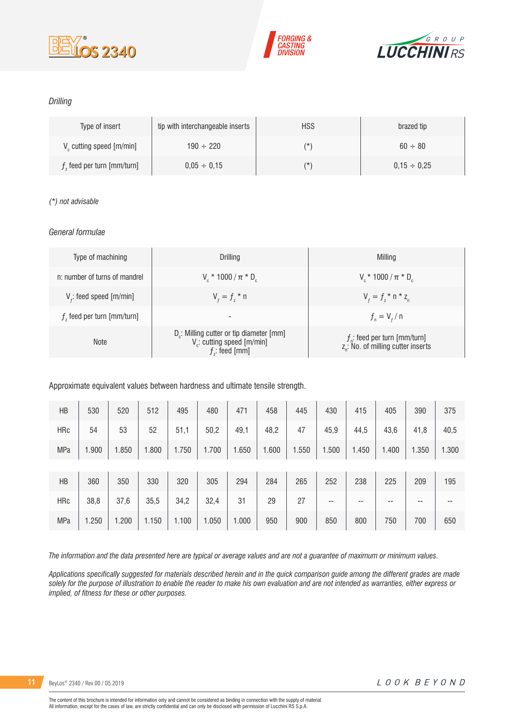





#### *Drilling*

| Type of insert                       | tip with interchangeable inserts | <b>HSS</b> | brazed tip       |
|--------------------------------------|----------------------------------|------------|------------------|
| V <sub>c</sub> cutting speed [m/min] | $190 \div 220$                   | (*         | $60 \div 80$     |
| $fz$ feed per turn [mm/turn]         | $0.05 \div 0.15$                 | (*         | $0.15 \div 0.25$ |

#### *(\*) not advisable*

#### *General formulae*

| Type of machining             | Drilling                                                                                                          | Milling                                                                             |
|-------------------------------|-------------------------------------------------------------------------------------------------------------------|-------------------------------------------------------------------------------------|
| n: number of turns of mandrel | $V_r * 1000 / \pi * D_r$                                                                                          | $V_r * 1000 / \pi * D_r$                                                            |
| $Vf$ : feed speed [m/min]     | $V_{f} = f_{7}$ * n                                                                                               | $V_{f} = f_{i} * n * z_{n}$                                                         |
| $fz$ feed per turn [mm/turn]  | -                                                                                                                 | $f_{n} = V_{f} / n$                                                                 |
| <b>Note</b>                   | D <sub>r</sub> : Milling cutter or tip diameter [mm]<br>V <sub>c</sub> : cutting speed [m/min]<br>$f$ : feed [mm] | $f_{n}$ : feed per turn [mm/turn]<br>z <sub>n</sub> : No. of milling cutter inserts |

Approximate equivalent values between hardness and ultimate tensile strength.

| HB         | 530   | 520   | 512   | 495   | 480   | 471   | 458   | 445   | 430   | 415   | 405   | 390   | 375   |
|------------|-------|-------|-------|-------|-------|-------|-------|-------|-------|-------|-------|-------|-------|
| <b>HRc</b> | 54    | 53    | 52    | 51,1  | 50,2  | 49,1  | 48,2  | 47    | 45,9  | 44,5  | 43,6  | 41,8  | 40,5  |
| MPa        | 1.900 | 1.850 | 1.800 | 1.750 | 1.700 | 1.650 | 1.600 | 1.550 | 1.500 | 1.450 | 1.400 | 1.350 | 1.300 |
|            |       |       |       |       |       |       |       |       |       |       |       |       |       |
| HB         | 360   | 350   | 330   | 320   | 305   | 294   | 284   | 265   | 252   | 238   | 225   | 209   | 195   |
| <b>HRc</b> | 38,8  | 37,6  | 35,5  | 34,2  | 32,4  | 31    | 29    | 27    | --    | --    | --    | --    | --    |
| MPa        | 1.250 | 1.200 | 1.150 | 1.100 | 1.050 | 1.000 | 950   | 900   | 850   | 800   | 750   | 700   | 650   |

*The information and the data presented here are typical or average values and are not a guarantee of maximum or minimum values.*

*Applications specifically suggested for materials described herein and in the quick comparison guide among the different grades are made solely for the purpose of illustration to enable the reader to make his own evaluation and are not intended as warranties, either express or implied, of fitness for these or other purposes.*